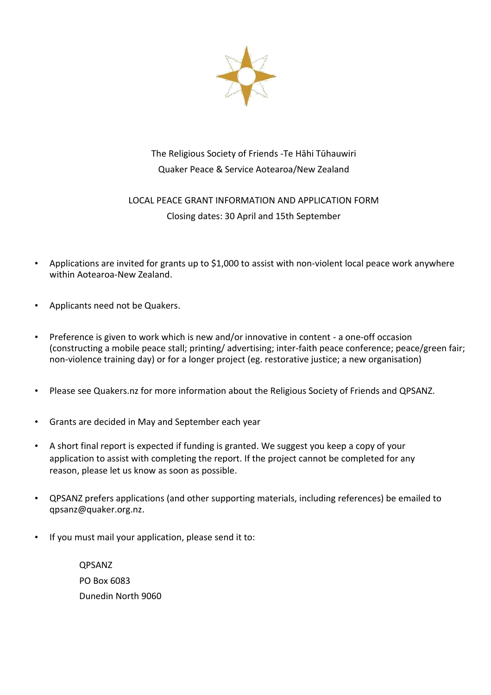

# The Religious Society of Friends -Te Hāhi Tūhauwiri Quaker Peace & Service Aotearoa/New Zealand

## LOCAL PEACE GRANT INFORMATION AND APPLICATION FORM Closing dates: 30 April and 15th September

- Applications are invited for grants up to \$1,000 to assist with non-violent local peace work anywhere within Aotearoa-New Zealand.
- Applicants need not be Quakers.
- Preference is given to work which is new and/or innovative in content a one-off occasion (constructing a mobile peace stall; printing/ advertising; inter-faith peace conference; peace/green fair; non-violence training day) or for a longer project (eg. restorative justice; a new organisation)
- Please see Quakers.nz for more information about the Religious Society of Friends and QPSANZ.
- Grants are decided in May and September each year
- A short final report is expected if funding is granted. We suggest you keep a copy of your application to assist with completing the report. If the project cannot be completed for any reason, please let us know as soon as possible.
- QPSANZ prefers applications (and other supporting materials, including references) be emailed to qpsanz@quaker.org.nz.
- If you must mail your application, please send it to:

QPSANZ PO Box 6083 Dunedin North 9060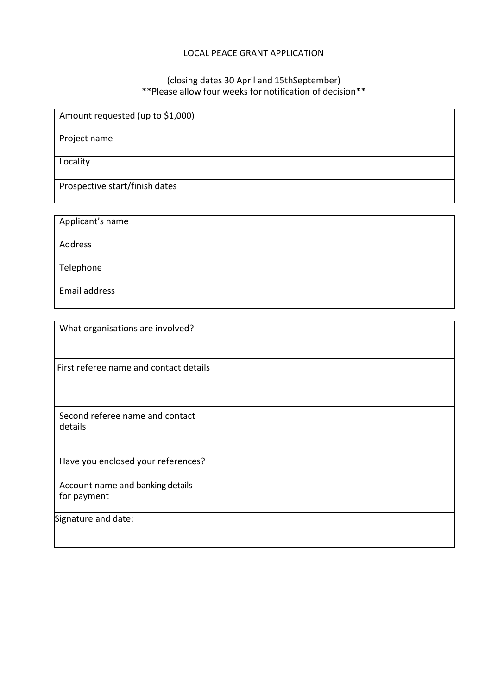#### LOCAL PEACE GRANT APPLICATION

#### (closing dates 30 April and 15thSeptember) \*\*Please allow four weeks for notification of decision\*\*

| Amount requested (up to \$1,000) |  |
|----------------------------------|--|
| Project name                     |  |
| Locality                         |  |
| Prospective start/finish dates   |  |

| Applicant's name |  |
|------------------|--|
| Address          |  |
| Telephone        |  |
| Email address    |  |

| What organisations are involved?                |  |
|-------------------------------------------------|--|
| First referee name and contact details          |  |
| Second referee name and contact<br>details      |  |
| Have you enclosed your references?              |  |
| Account name and banking details<br>for payment |  |
| Signature and date:                             |  |